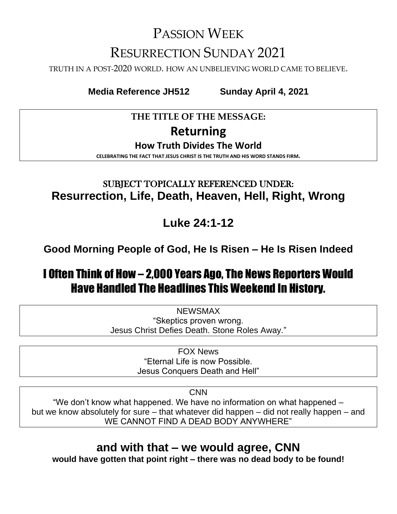## PASSION WEEK RESURRECTION SUNDAY 2021

TRUTH IN A POST-2020 WORLD. HOW AN UNBELIEVING WORLD CAME TO BELIEVE.

**Media Reference JH512 Sunday April 4, 2021**

#### **THE TITLE OF THE MESSAGE: Returning**

#### **How Truth Divides The World**

**CELEBRATING THE FACT THAT JESUS CHRIST IS THE TRUTH AND HIS WORD STANDS FIRM.**

#### SUBJECT TOPICALLY REFERENCED UNDER: **Resurrection, Life, Death, Heaven, Hell, Right, Wrong**

**Luke 24:1-12**

**Good Morning People of God, He Is Risen – He Is Risen Indeed**

## I Often Think of How – 2,000 Years Ago, The News Reporters Would Have Handled The Headlines This Weekend In History.

**NEWSMAX** "Skeptics proven wrong. Jesus Christ Defies Death. Stone Roles Away."

> FOX News "Eternal Life is now Possible. Jesus Conquers Death and Hell"

> > CNN

"We don't know what happened. We have no information on what happened – but we know absolutely for sure – that whatever did happen – did not really happen – and WE CANNOT FIND A DEAD BODY ANYWHERE"

**and with that – we would agree, CNN**

**would have gotten that point right – there was no dead body to be found!**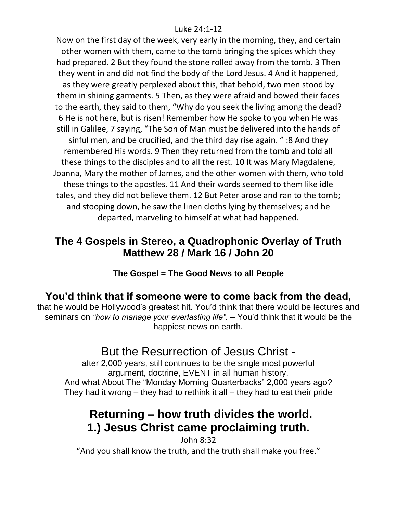#### Luke 24:1-12

Now on the first day of the week, very early in the morning, they, and certain other women with them, came to the tomb bringing the spices which they had prepared. 2 But they found the stone rolled away from the tomb. 3 Then they went in and did not find the body of the Lord Jesus. 4 And it happened, as they were greatly perplexed about this, that behold, two men stood by them in shining garments. 5 Then, as they were afraid and bowed their faces to the earth, they said to them, "Why do you seek the living among the dead? 6 He is not here, but is risen! Remember how He spoke to you when He was still in Galilee, 7 saying, "The Son of Man must be delivered into the hands of sinful men, and be crucified, and the third day rise again. " :8 And they remembered His words. 9 Then they returned from the tomb and told all these things to the disciples and to all the rest. 10 It was Mary Magdalene, Joanna, Mary the mother of James, and the other women with them, who told these things to the apostles. 11 And their words seemed to them like idle tales, and they did not believe them. 12 But Peter arose and ran to the tomb; and stooping down, he saw the linen cloths lying by themselves; and he departed, marveling to himself at what had happened.

#### **The 4 Gospels in Stereo, a Quadrophonic Overlay of Truth Matthew 28 / Mark 16 / John 20**

**The Gospel = The Good News to all People**

#### **You'd think that if someone were to come back from the dead,**

that he would be Hollywood's greatest hit. You'd think that there would be lectures and seminars on *"how to manage your everlasting life".* – You'd think that it would be the happiest news on earth.

#### But the Resurrection of Jesus Christ -

after 2,000 years, still continues to be the single most powerful argument, doctrine, EVENT in all human history. And what About The "Monday Morning Quarterbacks" 2,000 years ago? They had it wrong – they had to rethink it all – they had to eat their pride

#### **Returning – how truth divides the world. 1.) Jesus Christ came proclaiming truth.**

John 8:32

"And you shall know the truth, and the truth shall make you free."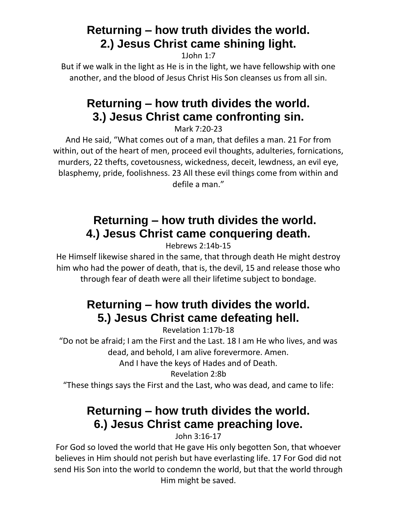#### **Returning – how truth divides the world. 2.) Jesus Christ came shining light.**

1John 1:7

But if we walk in the light as He is in the light, we have fellowship with one another, and the blood of Jesus Christ His Son cleanses us from all sin.

#### **Returning – how truth divides the world. 3.) Jesus Christ came confronting sin.**

Mark 7:20-23

And He said, "What comes out of a man, that defiles a man. 21 For from within, out of the heart of men, proceed evil thoughts, adulteries, fornications, murders, 22 thefts, covetousness, wickedness, deceit, lewdness, an evil eye, blasphemy, pride, foolishness. 23 All these evil things come from within and defile a man."

## **Returning – how truth divides the world. 4.) Jesus Christ came conquering death.**

Hebrews 2:14b-15

He Himself likewise shared in the same, that through death He might destroy him who had the power of death, that is, the devil, 15 and release those who through fear of death were all their lifetime subject to bondage.

### **Returning – how truth divides the world. 5.) Jesus Christ came defeating hell.**

Revelation 1:17b-18

"Do not be afraid; I am the First and the Last. 18 I am He who lives, and was dead, and behold, I am alive forevermore. Amen.

And I have the keys of Hades and of Death.

Revelation 2:8b

"These things says the First and the Last, who was dead, and came to life:

## **Returning – how truth divides the world. 6.) Jesus Christ came preaching love.**

John 3:16-17

For God so loved the world that He gave His only begotten Son, that whoever believes in Him should not perish but have everlasting life. 17 For God did not send His Son into the world to condemn the world, but that the world through Him might be saved.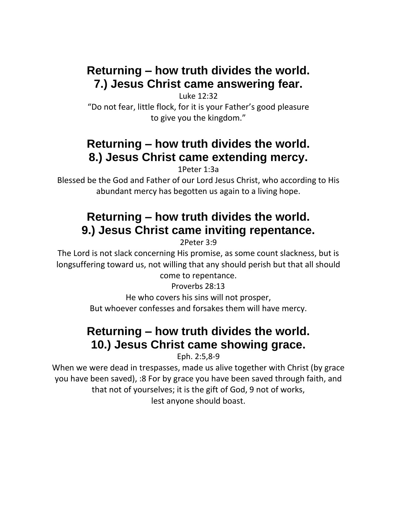#### **Returning – how truth divides the world. 7.) Jesus Christ came answering fear.**

Luke 12:32 "Do not fear, little flock, for it is your Father's good pleasure to give you the kingdom."

#### **Returning – how truth divides the world. 8.) Jesus Christ came extending mercy.**

1Peter 1:3a

Blessed be the God and Father of our Lord Jesus Christ, who according to His abundant mercy has begotten us again to a living hope.

### **Returning – how truth divides the world. 9.) Jesus Christ came inviting repentance.**

2Peter 3:9

The Lord is not slack concerning His promise, as some count slackness, but is longsuffering toward us, not willing that any should perish but that all should

come to repentance.

Proverbs 28:13

He who covers his sins will not prosper,

But whoever confesses and forsakes them will have mercy.

#### **Returning – how truth divides the world. 10.) Jesus Christ came showing grace.**

Eph. 2:5,8-9

When we were dead in trespasses, made us alive together with Christ (by grace you have been saved), :8 For by grace you have been saved through faith, and that not of yourselves; it is the gift of God, 9 not of works, lest anyone should boast.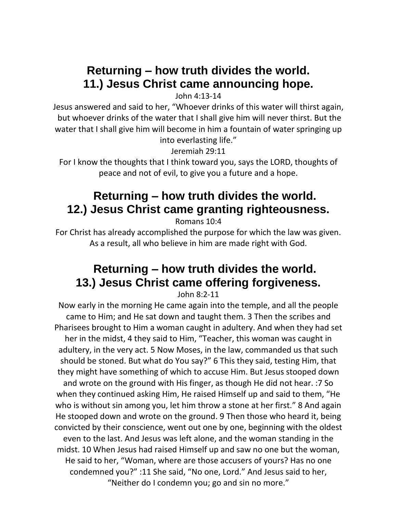#### **Returning – how truth divides the world. 11.) Jesus Christ came announcing hope.**

John 4:13-14

Jesus answered and said to her, "Whoever drinks of this water will thirst again, but whoever drinks of the water that I shall give him will never thirst. But the water that I shall give him will become in him a fountain of water springing up into everlasting life."

Jeremiah 29:11

For I know the thoughts that I think toward you, says the LORD, thoughts of peace and not of evil, to give you a future and a hope.

#### **Returning – how truth divides the world. 12.) Jesus Christ came granting righteousness.**

Romans 10:4

For Christ has already accomplished the purpose for which the law was given. As a result, all who believe in him are made right with God.

#### **Returning – how truth divides the world. 13.) Jesus Christ came offering forgiveness.**

John 8:2-11

Now early in the morning He came again into the temple, and all the people came to Him; and He sat down and taught them. 3 Then the scribes and Pharisees brought to Him a woman caught in adultery. And when they had set her in the midst, 4 they said to Him, "Teacher, this woman was caught in adultery, in the very act. 5 Now Moses, in the law, commanded us that such should be stoned. But what do You say?" 6 This they said, testing Him, that they might have something of which to accuse Him. But Jesus stooped down and wrote on the ground with His finger, as though He did not hear. :7 So when they continued asking Him, He raised Himself up and said to them, "He who is without sin among you, let him throw a stone at her first." 8 And again He stooped down and wrote on the ground. 9 Then those who heard it, being convicted by their conscience, went out one by one, beginning with the oldest even to the last. And Jesus was left alone, and the woman standing in the midst. 10 When Jesus had raised Himself up and saw no one but the woman, He said to her, "Woman, where are those accusers of yours? Has no one condemned you?" :11 She said, "No one, Lord." And Jesus said to her, "Neither do I condemn you; go and sin no more."